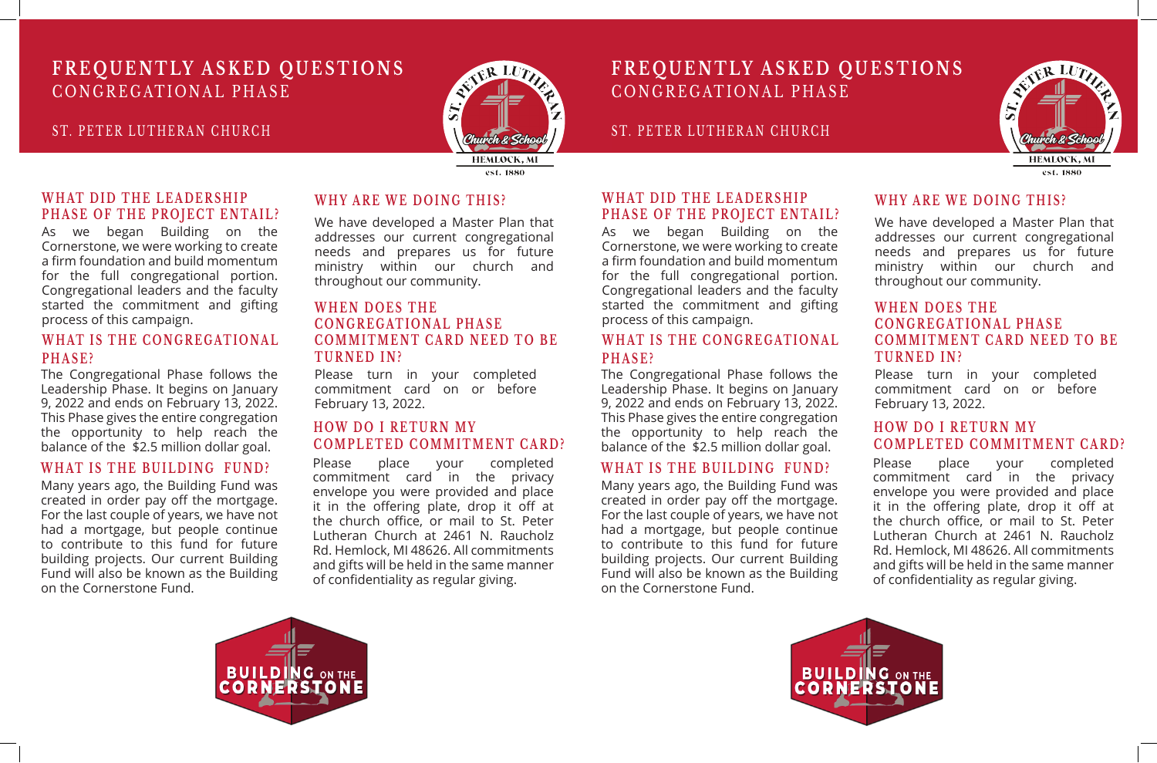#### ST. PETER LUTHERAN CHURCH



### **FREQUENTLY ASKED QUESTIONS** CONGREGATIONAL PHASE

ST. PETER LUTHERAN CHURCH

## **FREQUENTLY ASKED QUESTIONS** CONGREGATIONAL PHASE

#### **WHAT DID THE LEADERSHIP PHASE OF THE PROJECT ENTAIL?**

#### **WHEN DOES THE C O N G R E G AT I O N A L P H A S E COMMITMENT CARD NEED TO BE TURNED IN?**

As we began Building on the Cornerstone, we were working to create a firm foundation and build momentum for the full congregational portion. Congregational leaders and the faculty started the commitment and gifting process of this campaign.

> Please turn in your completed commitment card on or before February 13, 2022.

#### **WHAT IS THE CONGREGATIONAL PHASE?**

#### **WHAT IS THE BUILDING FUND?**

#### **HOW DO I RETURN MY COMPLETED COMMITMENT CARD?**

Many years ago, the Building Fund was created in order pay off the mortgage. For the last couple of years, we have not had a mortgage, but people continue to contribute to this fund for future building projects. Our current Building Fund will also be known as the Building on the Cornerstone Fund.

#### **WHY ARE WE DOING THIS?**

We have developed a Master Plan that addresses our current congregational needs and prepares us for future ministry within our church and throughout our community.

> Please turn in your completed commitment card on or before February 13, 2022. The Congregational Phase follows the Leadership Phase. It begins on January 9, 2022 and ends on February 13, 2022. This Phase gives the entire congregation the opportunity to help reach the balance of the \$2.5 million dollar goal. **HOW DO I RETURN MY**

The Congregational Phase follows the Leadership Phase. It begins on January 9, 2022 and ends on February 13, 2022. This Phase gives the entire congregation the opportunity to help reach the balance of the \$2.5 million dollar goal.

> Please place your completed commitment card in the privacy envelope you were provided and place it in the offering plate, drop it off at the church office, or mail to St. Peter Lutheran Church at 2461 N. Raucholz Rd. Hemlock, MI 48626. All commitments and gifts will be held in the same manner of confidentiality as regular giving.

#### **WHAT DID THE LEADERSHIP PHASE OF THE PROJECT ENTAIL?**

As we began Building on the Cornerstone, we were working to create a firm foundation and build momentum for the full congregational portion. Congregational leaders and the faculty started the commitment and gifting process of this campaign.

#### **C O N G R E G AT I O N A L P H A S E COMMITMENT CARD NEED TO BE TURNED IN? WHAT IS THE CONGREGATIONAL PHASE?**

**WHY ARE WE DOING THIS?**

#### We have developed a Master Plan that addresses our current congregational needs and prepares us for future ministry within our church and

# throughout our community.

#### **WHEN DOES THE**

**WHAT IS THE BUILDING FUND?** Many years ago, the Building Fund was created in order pay off the mortgage. For the last couple of years, we have not had a mortgage, but people continue to contribute to this fund for future building projects. Our current Building Fund will also be known as the Building on the Cornerstone Fund. Please place your completed commitment card in the privacy envelope you were provided and place it in the offering plate, drop it off at the church office, or mail to St. Peter Lutheran Church at 2461 N. Raucholz Rd. Hemlock, MI 48626. All commitments and gifts will be held in the same manner of confidentiality as regular giving.







est. 1880

## **COMPLETED COMMITMENT CARD?**